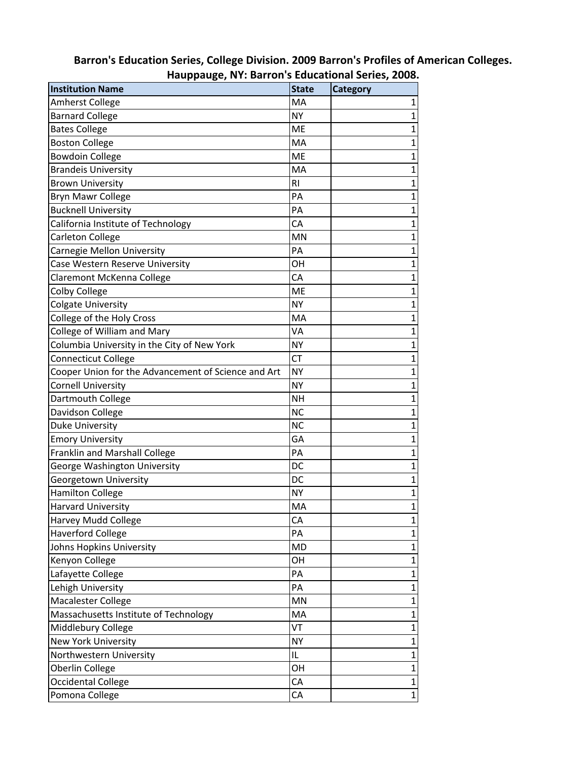| Hauppauge, NY: Barron's Educational Series, 2008.   |              |                 |  |
|-----------------------------------------------------|--------------|-----------------|--|
| <b>Institution Name</b>                             | <b>State</b> | <b>Category</b> |  |
| <b>Amherst College</b>                              | MA           | 1               |  |
| <b>Barnard College</b>                              | <b>NY</b>    | $\overline{1}$  |  |
| <b>Bates College</b>                                | ME           | $\overline{1}$  |  |
| <b>Boston College</b>                               | MA           | $\overline{1}$  |  |
| <b>Bowdoin College</b>                              | ME           | $\overline{1}$  |  |
| <b>Brandeis University</b>                          | MA           | $\mathbf{1}$    |  |
| <b>Brown University</b>                             | <b>RI</b>    | $\overline{1}$  |  |
| Bryn Mawr College                                   | PA           | $\overline{1}$  |  |
| <b>Bucknell University</b>                          | PA           | $\mathbf{1}$    |  |
| California Institute of Technology                  | CA           | $\overline{1}$  |  |
| Carleton College                                    | MN           | $\mathbf{1}$    |  |
| Carnegie Mellon University                          | PA           | $\mathbf{1}$    |  |
| Case Western Reserve University                     | OH           | $\overline{1}$  |  |
| Claremont McKenna College                           | CA           | $\mathbf{1}$    |  |
| Colby College                                       | ME           | $\overline{1}$  |  |
| <b>Colgate University</b>                           | <b>NY</b>    | $\mathbf{1}$    |  |
| College of the Holy Cross                           | MA           | $\mathbf{1}$    |  |
| College of William and Mary                         | VA           | $\overline{1}$  |  |
| Columbia University in the City of New York         | <b>NY</b>    | $\overline{1}$  |  |
| <b>Connecticut College</b>                          | СT           | $\mathbf{1}$    |  |
| Cooper Union for the Advancement of Science and Art | <b>NY</b>    | $\overline{1}$  |  |
| Cornell University                                  | <b>NY</b>    | $\overline{1}$  |  |
| Dartmouth College                                   | NΗ           | $\mathbf{1}$    |  |
| Davidson College                                    | <b>NC</b>    | $\overline{1}$  |  |
| Duke University                                     | <b>NC</b>    | $\overline{1}$  |  |
| <b>Emory University</b>                             | GA           | $\overline{1}$  |  |
| Franklin and Marshall College                       | PA           | $\overline{1}$  |  |
| George Washington University                        | DC           | $\overline{1}$  |  |
| Georgetown University                               | DC           | $\overline{1}$  |  |
| <b>Hamilton College</b>                             | <b>NY</b>    | $\overline{1}$  |  |
| <b>Harvard University</b>                           | MA           | 1               |  |
| Harvey Mudd College                                 | CA           | $\mathbf{1}$    |  |
| <b>Haverford College</b>                            | PA           | $\overline{1}$  |  |
| Johns Hopkins University                            | <b>MD</b>    | $\mathbf{1}$    |  |
| Kenyon College                                      | OН           | $\overline{1}$  |  |
| Lafayette College                                   | PA           | $\overline{1}$  |  |
| Lehigh University                                   | PA           | $\mathbf{1}$    |  |
| Macalester College                                  | MN           | $\overline{1}$  |  |
| Massachusetts Institute of Technology               | MA           | $\overline{1}$  |  |
| Middlebury College                                  | VT           | $\mathbf{1}$    |  |
| New York University                                 | <b>NY</b>    | $\overline{1}$  |  |
| Northwestern University                             | IL           | $\mathbf{1}$    |  |
| Oberlin College                                     | OН           | $\mathbf{1}$    |  |
| Occidental College                                  | CA           | $\mathbf{1}$    |  |
| Pomona College                                      | CA           | $\mathbf{1}$    |  |

## Barron's Education Series, College Division. 2009 Barron's Profiles of American Colleges.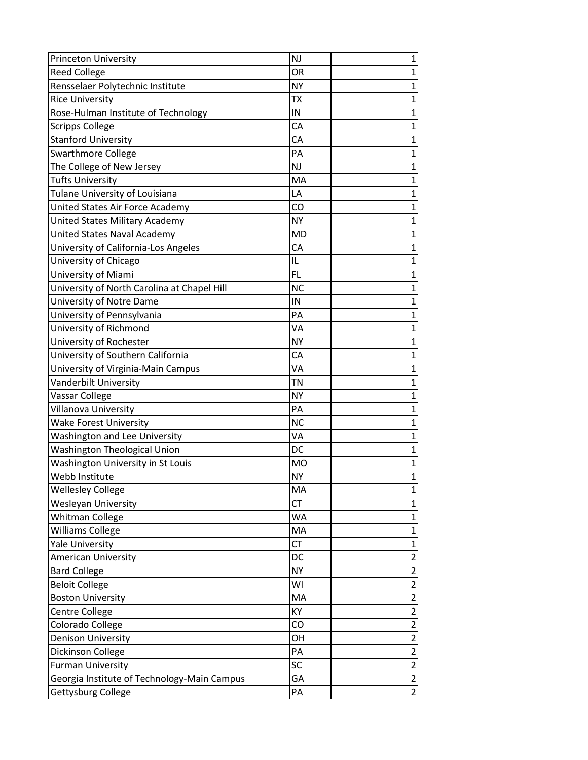| <b>Princeton University</b>                 | <b>NJ</b><br>1              |
|---------------------------------------------|-----------------------------|
| <b>Reed College</b>                         | OR<br>$\mathbf{1}$          |
| Rensselaer Polytechnic Institute            | $\overline{1}$<br><b>NY</b> |
| <b>Rice University</b>                      | $\overline{1}$<br><b>TX</b> |
| Rose-Hulman Institute of Technology         | IN<br>1                     |
| <b>Scripps College</b>                      | CA<br>1                     |
| <b>Stanford University</b>                  | 1<br>CA                     |
| Swarthmore College                          | PA<br>$\mathbf{1}$          |
| The College of New Jersey                   | <b>NJ</b><br>$\mathbf{1}$   |
| <b>Tufts University</b>                     | $\overline{1}$<br>MA        |
| Tulane University of Louisiana              | $\mathbf{1}$<br>LA          |
| United States Air Force Academy             | $\overline{1}$<br>CO        |
| United States Military Academy              | $\mathbf{1}$<br><b>NY</b>   |
| <b>United States Naval Academy</b>          | <b>MD</b><br>$\mathbf{1}$   |
| University of California-Los Angeles        | CA<br>$\overline{1}$        |
| University of Chicago                       | IL<br>1                     |
| University of Miami                         | <b>FL</b><br>$\mathbf{1}$   |
| University of North Carolina at Chapel Hill | <b>NC</b><br>$\mathbf 1$    |
| University of Notre Dame                    | 1<br>IN                     |
| University of Pennsylvania                  | PA<br>$\overline{1}$        |
| University of Richmond                      | VA<br>1                     |
| University of Rochester                     | <b>NY</b><br>1              |
| University of Southern California           | CA<br>$\mathbf{1}$          |
| University of Virginia-Main Campus          | <b>VA</b><br>1              |
| Vanderbilt University                       | <b>TN</b><br>1              |
| Vassar College                              | <b>NY</b><br>$\overline{1}$ |
| Villanova University                        | $\mathbf{1}$<br>PA          |
| <b>Wake Forest University</b>               | <b>NC</b><br>1              |
| <b>Washington and Lee University</b>        | VA<br>$\mathbf{1}$          |
| <b>Washington Theological Union</b>         | $\mathbf{1}$<br>DC          |
| Washington University in St Louis           | $\mathbf 1$<br><b>MO</b>    |
| Webb Institute                              | $\overline{1}$<br><b>NY</b> |
| <b>Wellesley College</b>                    | MA<br>1                     |
| Wesleyan University                         | <b>CT</b><br>$\mathbf 1$    |
| <b>Whitman College</b>                      | $\mathbf{1}$<br><b>WA</b>   |
| Williams College                            | $\mathbf{1}$<br>MA          |
| <b>Yale University</b>                      | $\mathbf{1}$<br><b>CT</b>   |
| American University                         | $\overline{2}$<br>DC        |
| <b>Bard College</b>                         | $\overline{2}$<br><b>NY</b> |
| <b>Beloit College</b>                       | $\overline{2}$<br>WI        |
| <b>Boston University</b>                    | $\overline{2}$<br>MA        |
| Centre College                              | $\overline{2}$<br>KY        |
| Colorado College                            | $\overline{2}$<br>CO        |
| <b>Denison University</b>                   | $\overline{2}$<br>OH        |
| Dickinson College                           | $\overline{2}$<br>PA        |
| <b>Furman University</b>                    | $\overline{2}$<br>SC        |
| Georgia Institute of Technology-Main Campus | $\overline{2}$<br>GA        |
| Gettysburg College                          | $\overline{2}$<br>PA        |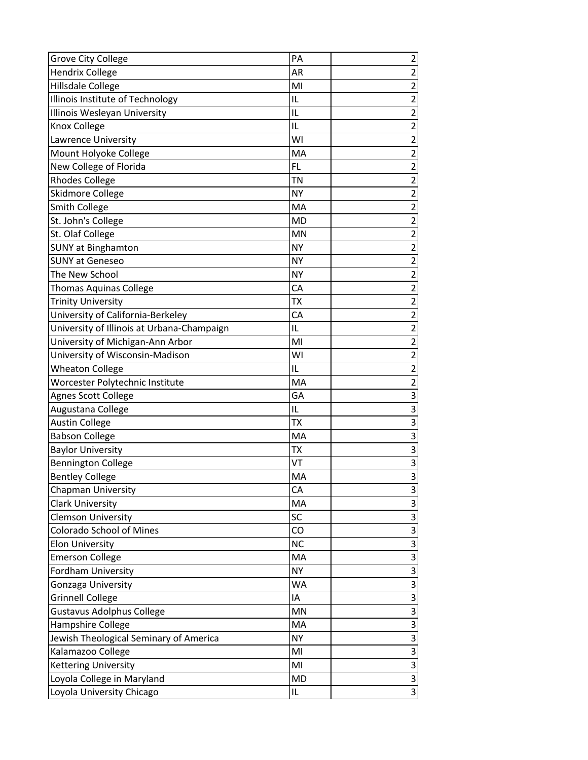| <b>Grove City College</b>                  | PA        | $\overline{\mathbf{c}}$ |
|--------------------------------------------|-----------|-------------------------|
| <b>Hendrix College</b>                     | AR        | $\overline{2}$          |
| Hillsdale College                          | MI        | $\overline{2}$          |
| Illinois Institute of Technology           | IL        | $\overline{2}$          |
| Illinois Wesleyan University               | IL        | $\overline{c}$          |
| Knox College                               | IL        | $\overline{2}$          |
| Lawrence University                        | WI        | $\overline{2}$          |
| Mount Holyoke College                      | MA        | $\overline{2}$          |
| New College of Florida                     | <b>FL</b> | $\overline{2}$          |
| <b>Rhodes College</b>                      | ΤN        | $\overline{2}$          |
| Skidmore College                           | <b>NY</b> | $\overline{2}$          |
| <b>Smith College</b>                       | MA        | $\overline{2}$          |
| St. John's College                         | <b>MD</b> | $\overline{2}$          |
| St. Olaf College                           | MN        | $\overline{2}$          |
| <b>SUNY at Binghamton</b>                  | <b>NY</b> | $\overline{c}$          |
| <b>SUNY at Geneseo</b>                     | <b>NY</b> | $\overline{2}$          |
| The New School                             | <b>NY</b> | $\overline{2}$          |
| <b>Thomas Aquinas College</b>              | CA        | $\overline{2}$          |
| <b>Trinity University</b>                  | ТX        | $\overline{2}$          |
| University of California-Berkeley          | CA        | $\overline{c}$          |
| University of Illinois at Urbana-Champaign | IL        | $\overline{2}$          |
| University of Michigan-Ann Arbor           | MI        | $\overline{2}$          |
| University of Wisconsin-Madison            | WI        | $\overline{c}$          |
| <b>Wheaton College</b>                     | IL        | $\overline{2}$          |
| Worcester Polytechnic Institute            | MA        | $\overline{2}$          |
| <b>Agnes Scott College</b>                 | GA        | 3                       |
| Augustana College                          | IL        | $\overline{3}$          |
| <b>Austin College</b>                      | <b>TX</b> | $\overline{3}$          |
| <b>Babson College</b>                      | MA        | $\overline{3}$          |
| <b>Baylor University</b>                   | ТX        | $\overline{3}$          |
| <b>Bennington College</b>                  | VT        | $\overline{3}$          |
| <b>Bentley College</b>                     | MA        | $\overline{3}$          |
| Chapman University                         | CA        | $\mathbf{3}$            |
| <b>Clark University</b>                    | MA        | $\overline{3}$          |
| <b>Clemson University</b>                  | SC        | $\overline{3}$          |
| Colorado School of Mines                   | CO        | $\overline{3}$          |
| <b>Elon University</b>                     | <b>NC</b> | $\overline{3}$          |
| <b>Emerson College</b>                     | MA        | $\overline{3}$          |
| Fordham University                         | <b>NY</b> | $\overline{3}$          |
| Gonzaga University                         | <b>WA</b> | $\overline{3}$          |
| <b>Grinnell College</b>                    | IA        | $\overline{3}$          |
| <b>Gustavus Adolphus College</b>           | MN        | $\overline{3}$          |
| Hampshire College                          | MA        | $\overline{3}$          |
| Jewish Theological Seminary of America     | <b>NY</b> | $\overline{\mathbf{3}}$ |
| Kalamazoo College                          | MI        |                         |
| <b>Kettering University</b>                | MI        | $\frac{3}{3}$           |
| Loyola College in Maryland                 | MD        | $\overline{3}$          |
| Loyola University Chicago                  | IL        | $\overline{3}$          |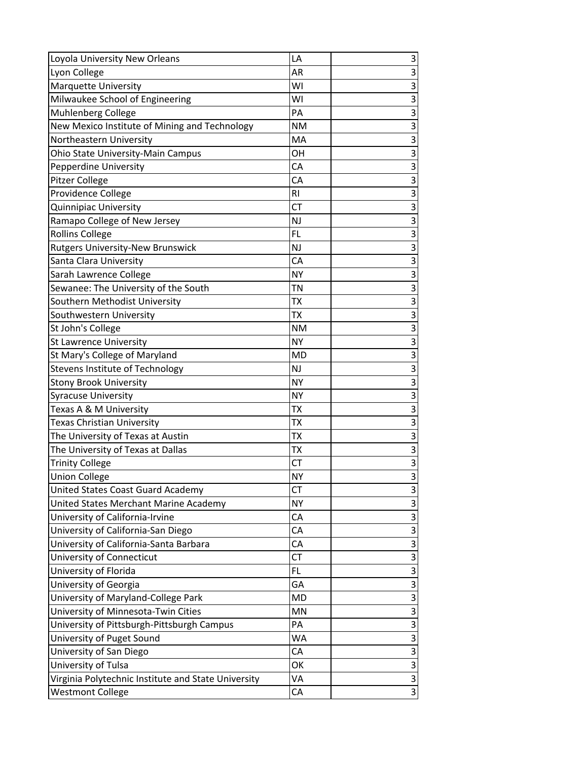| Loyola University New Orleans                       | LA        | 3                       |
|-----------------------------------------------------|-----------|-------------------------|
| Lyon College                                        | AR        | $\overline{3}$          |
| Marquette University                                | WI        | $\overline{3}$          |
| Milwaukee School of Engineering                     | WI        | $\overline{3}$          |
| Muhlenberg College                                  | PA        | $\overline{3}$          |
| New Mexico Institute of Mining and Technology       | <b>NM</b> | $\overline{3}$          |
| Northeastern University                             | MA        | $\overline{3}$          |
| Ohio State University-Main Campus                   | OH        | $\overline{3}$          |
| Pepperdine University                               | CA        | $\overline{3}$          |
| Pitzer College                                      | CA        | $\overline{3}$          |
| Providence College                                  | RI        | $\overline{3}$          |
| Quinnipiac University                               | <b>CT</b> | $\overline{3}$          |
| Ramapo College of New Jersey                        | <b>NJ</b> | $\overline{3}$          |
| <b>Rollins College</b>                              | <b>FL</b> | $\overline{3}$          |
| <b>Rutgers University-New Brunswick</b>             | <b>NJ</b> | $\overline{3}$          |
| Santa Clara University                              | CA        | $\overline{3}$          |
| Sarah Lawrence College                              | <b>NY</b> | $\overline{3}$          |
| Sewanee: The University of the South                | TN        | $\overline{3}$          |
| Southern Methodist University                       | ТX        | $\overline{3}$          |
| Southwestern University                             | <b>TX</b> | $\overline{3}$          |
| St John's College                                   | <b>NM</b> | $\overline{3}$          |
| <b>St Lawrence University</b>                       | <b>NY</b> | $\overline{3}$          |
| St Mary's College of Maryland                       | <b>MD</b> | $\overline{3}$          |
| Stevens Institute of Technology                     | NJ        | $\overline{3}$          |
| <b>Stony Brook University</b>                       | <b>NY</b> | $\overline{3}$          |
| <b>Syracuse University</b>                          | <b>NY</b> | $\overline{\mathbf{3}}$ |
| Texas A & M University                              | ТX        | $\overline{3}$          |
| Texas Christian University                          | <b>TX</b> | $\overline{3}$          |
| The University of Texas at Austin                   | <b>TX</b> | $\overline{3}$          |
| The University of Texas at Dallas                   | ТX        | $\overline{3}$          |
| <b>Trinity College</b>                              | <b>CT</b> | $\overline{3}$          |
| <b>Union College</b>                                | <b>NY</b> | $\overline{3}$          |
| United States Coast Guard Academy                   | <b>CT</b> | $\mathbf{3}$            |
| United States Merchant Marine Academy               | <b>NY</b> | $\overline{3}$          |
| University of California-Irvine                     | CA        | $\overline{3}$          |
| University of California-San Diego                  | СA        | $\overline{3}$          |
| University of California-Santa Barbara              | CA        | 3                       |
| University of Connecticut                           | <b>CT</b> | $\overline{3}$          |
| University of Florida                               | FL.       | $\overline{3}$          |
| University of Georgia                               | GA        | $\overline{3}$          |
| University of Maryland-College Park                 | MD        | $\overline{3}$          |
| University of Minnesota-Twin Cities                 | MN        | $\overline{3}$          |
| University of Pittsburgh-Pittsburgh Campus          | PA        | $\overline{3}$          |
| University of Puget Sound                           | WA        | $\overline{3}$          |
| University of San Diego                             | CA        |                         |
| University of Tulsa                                 | OK        | $\frac{3}{3}$           |
| Virginia Polytechnic Institute and State University | VA        | $\overline{3}$          |
| <b>Westmont College</b>                             | CA        | $\overline{3}$          |